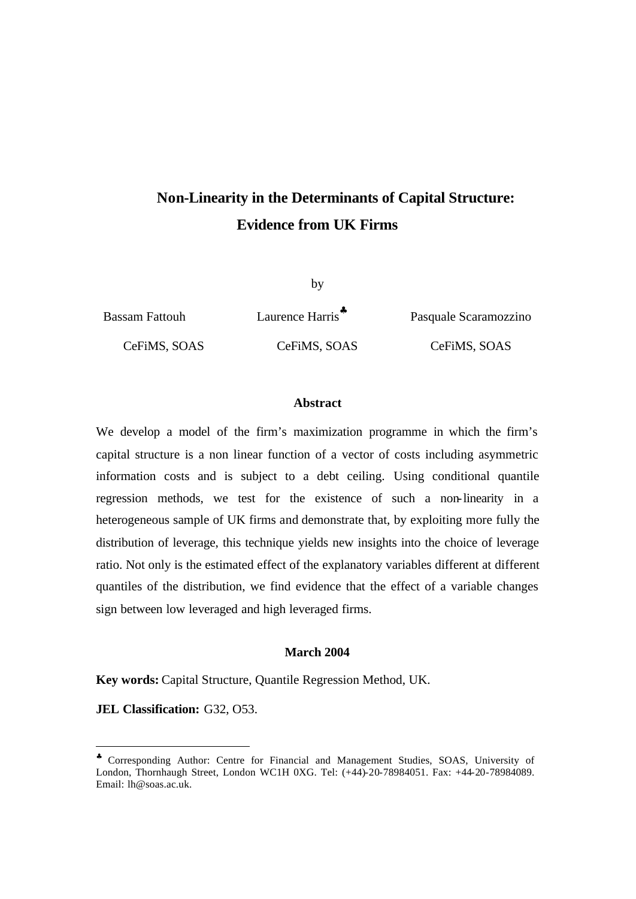# **Non-Linearity in the Determinants of Capital Structure: Evidence from UK Firms**

by

Bassam Fattouh Laurence Harris**§** Pasquale Scaramozzino CeFiMS, SOAS CeFiMS, SOAS CeFiMS, SOAS

#### **Abstract**

We develop a model of the firm's maximization programme in which the firm's capital structure is a non linear function of a vector of costs including asymmetric information costs and is subject to a debt ceiling. Using conditional quantile regression methods, we test for the existence of such a non-linearity in a heterogeneous sample of UK firms and demonstrate that, by exploiting more fully the distribution of leverage, this technique yields new insights into the choice of leverage ratio. Not only is the estimated effect of the explanatory variables different at different quantiles of the distribution, we find evidence that the effect of a variable changes sign between low leveraged and high leveraged firms.

#### **March 2004**

**Key words:** Capital Structure, Quantile Regression Method, UK.

**JEL Classification: G32, O53.** 

<sup>♣</sup> Corresponding Author: Centre for Financial and Management Studies, SOAS, University of London, Thornhaugh Street, London WC1H 0XG. Tel: (+44)-20-78984051. Fax: +44-20-78984089. Email: lh@soas.ac.uk.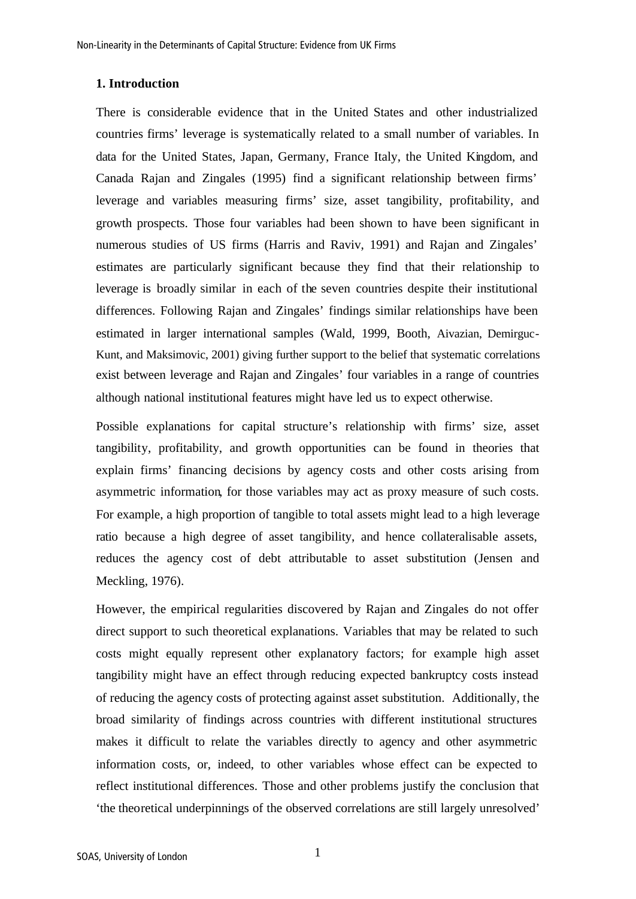#### **1. Introduction**

There is considerable evidence that in the United States and other industrialized countries firms' leverage is systematically related to a small number of variables. In data for the United States, Japan, Germany, France Italy, the United Kingdom, and Canada Rajan and Zingales (1995) find a significant relationship between firms' leverage and variables measuring firms' size, asset tangibility, profitability, and growth prospects. Those four variables had been shown to have been significant in numerous studies of US firms (Harris and Raviv, 1991) and Rajan and Zingales' estimates are particularly significant because they find that their relationship to leverage is broadly similar in each of the seven countries despite their institutional differences. Following Rajan and Zingales' findings similar relationships have been estimated in larger international samples (Wald, 1999, Booth, Aivazian, Demirguc-Kunt, and Maksimovic, 2001) giving further support to the belief that systematic correlations exist between leverage and Rajan and Zingales' four variables in a range of countries although national institutional features might have led us to expect otherwise.

Possible explanations for capital structure's relationship with firms' size, asset tangibility, profitability, and growth opportunities can be found in theories that explain firms' financing decisions by agency costs and other costs arising from asymmetric information, for those variables may act as proxy measure of such costs. For example, a high proportion of tangible to total assets might lead to a high leverage ratio because a high degree of asset tangibility, and hence collateralisable assets, reduces the agency cost of debt attributable to asset substitution (Jensen and Meckling, 1976).

However, the empirical regularities discovered by Rajan and Zingales do not offer direct support to such theoretical explanations. Variables that may be related to such costs might equally represent other explanatory factors; for example high asset tangibility might have an effect through reducing expected bankruptcy costs instead of reducing the agency costs of protecting against asset substitution. Additionally, the broad similarity of findings across countries with different institutional structures makes it difficult to relate the variables directly to agency and other asymmetric information costs, or, indeed, to other variables whose effect can be expected to reflect institutional differences. Those and other problems justify the conclusion that 'the theoretical underpinnings of the observed correlations are still largely unresolved'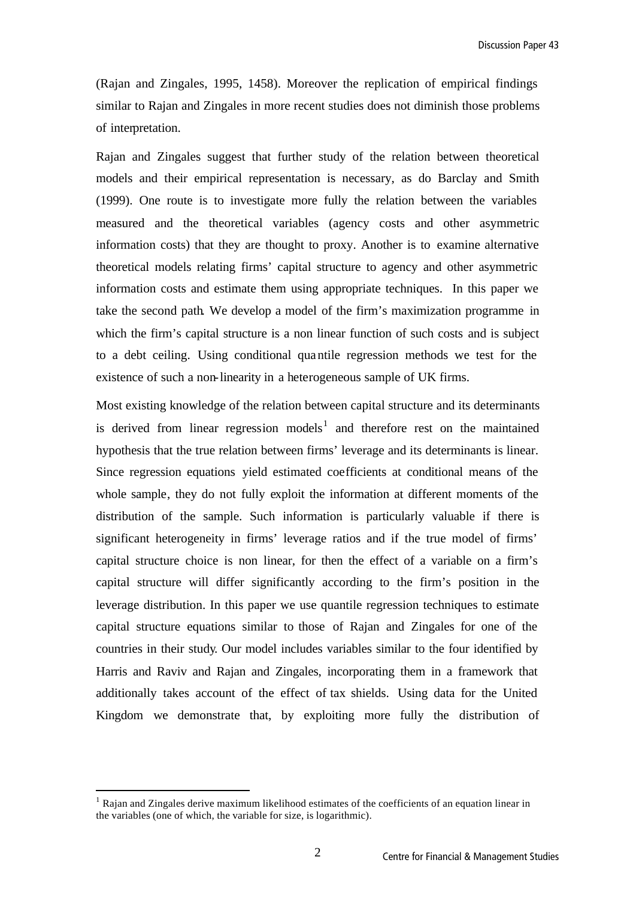(Rajan and Zingales, 1995, 1458). Moreover the replication of empirical findings similar to Rajan and Zingales in more recent studies does not diminish those problems of interpretation.

Rajan and Zingales suggest that further study of the relation between theoretical models and their empirical representation is necessary, as do Barclay and Smith (1999). One route is to investigate more fully the relation between the variables measured and the theoretical variables (agency costs and other asymmetric information costs) that they are thought to proxy. Another is to examine alternative theoretical models relating firms' capital structure to agency and other asymmetric information costs and estimate them using appropriate techniques. In this paper we take the second path. We develop a model of the firm's maximization programme in which the firm's capital structure is a non linear function of such costs and is subject to a debt ceiling. Using conditional quantile regression methods we test for the existence of such a non-linearity in a heterogeneous sample of UK firms.

Most existing knowledge of the relation between capital structure and its determinants is derived from linear regression models<sup>1</sup> and therefore rest on the maintained hypothesis that the true relation between firms' leverage and its determinants is linear. Since regression equations yield estimated coefficients at conditional means of the whole sample, they do not fully exploit the information at different moments of the distribution of the sample. Such information is particularly valuable if there is significant heterogeneity in firms' leverage ratios and if the true model of firms' capital structure choice is non linear, for then the effect of a variable on a firm's capital structure will differ significantly according to the firm's position in the leverage distribution. In this paper we use quantile regression techniques to estimate capital structure equations similar to those of Rajan and Zingales for one of the countries in their study. Our model includes variables similar to the four identified by Harris and Raviv and Rajan and Zingales, incorporating them in a framework that additionally takes account of the effect of tax shields. Using data for the United Kingdom we demonstrate that, by exploiting more fully the distribution of

<sup>&</sup>lt;sup>1</sup> Rajan and Zingales derive maximum likelihood estimates of the coefficients of an equation linear in the variables (one of which, the variable for size, is logarithmic).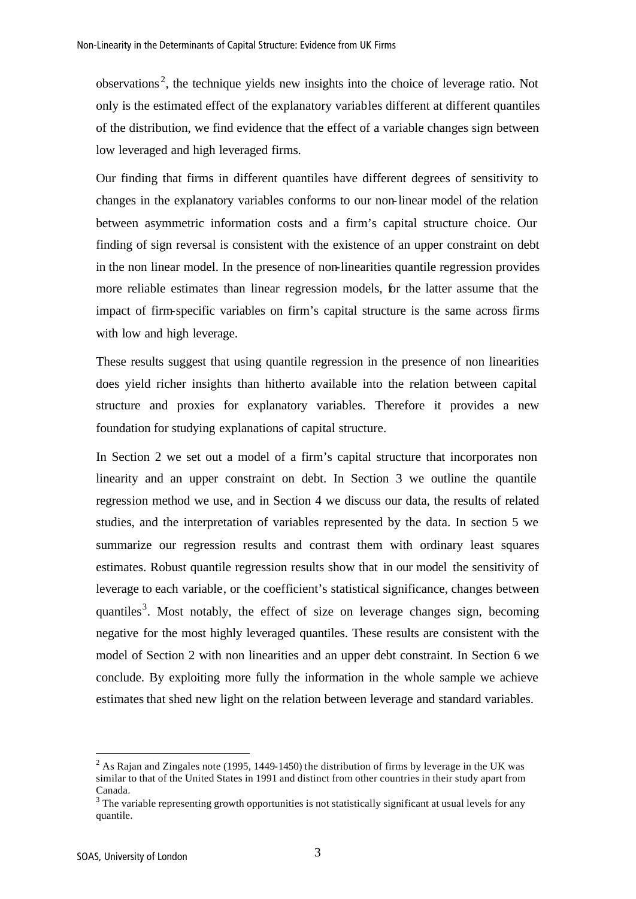observations<sup>2</sup>, the technique yields new insights into the choice of leverage ratio. Not only is the estimated effect of the explanatory variables different at different quantiles of the distribution, we find evidence that the effect of a variable changes sign between low leveraged and high leveraged firms.

Our finding that firms in different quantiles have different degrees of sensitivity to changes in the explanatory variables conforms to our non-linear model of the relation between asymmetric information costs and a firm's capital structure choice. Our finding of sign reversal is consistent with the existence of an upper constraint on debt in the non linear model. In the presence of non-linearities quantile regression provides more reliable estimates than linear regression models, for the latter assume that the impact of firm-specific variables on firm's capital structure is the same across firms with low and high leverage.

These results suggest that using quantile regression in the presence of non linearities does yield richer insights than hitherto available into the relation between capital structure and proxies for explanatory variables. Therefore it provides a new foundation for studying explanations of capital structure.

In Section 2 we set out a model of a firm's capital structure that incorporates non linearity and an upper constraint on debt. In Section 3 we outline the quantile regression method we use, and in Section 4 we discuss our data, the results of related studies, and the interpretation of variables represented by the data. In section 5 we summarize our regression results and contrast them with ordinary least squares estimates. Robust quantile regression results show that in our model the sensitivity of leverage to each variable, or the coefficient's statistical significance, changes between quantiles<sup>3</sup>. Most notably, the effect of size on leverage changes sign, becoming negative for the most highly leveraged quantiles. These results are consistent with the model of Section 2 with non linearities and an upper debt constraint. In Section 6 we conclude. By exploiting more fully the information in the whole sample we achieve estimates that shed new light on the relation between leverage and standard variables.

<sup>&</sup>lt;sup>2</sup> As Rajan and Zingales note (1995, 1449-1450) the distribution of firms by leverage in the UK was similar to that of the United States in 1991 and distinct from other countries in their study apart from Canada.

 $3$  The variable representing growth opportunities is not statistically significant at usual levels for any quantile.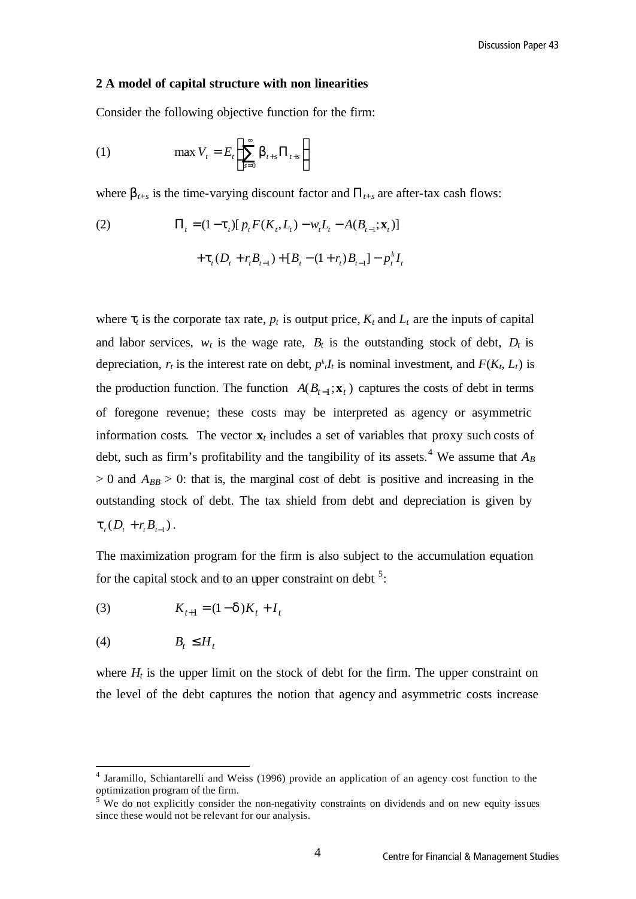#### **2 A model of capital structure with non linearities**

Consider the following objective function for the firm:

(1) 
$$
\max V_t = E_t \left\{ \sum_{s=0}^{\infty} \boldsymbol{b}_{t+s} \Pi_{t+s} \right\}
$$

where  $\mathbf{b}_{t+s}$  is the time-varying discount factor and  $\Pi_{t+s}$  are after-tax cash flows:

(2) 
$$
\Pi_{t} = (1 - \mathbf{t}_{t}) [p_{t} F(K_{t}, L_{t}) - w_{t} L_{t} - A(B_{t-1}; \mathbf{x}_{t})] + \mathbf{t}_{t} (D_{t} + r_{t} B_{t-1}) + [B_{t} - (1 + r_{t}) B_{t-1}] - p_{t}^{k} I_{t}
$$

where  $t_i$  is the corporate tax rate,  $p_t$  is output price,  $K_t$  and  $L_t$  are the inputs of capital and labor services,  $w_t$  is the wage rate,  $B_t$  is the outstanding stock of debt,  $D_t$  is depreciation,  $r_t$  is the interest rate on debt,  $p^t I_t$  is nominal investment, and  $F(K_t, L_t)$  is the production function. The function  $A(B_{t-1}; \mathbf{x}_t)$  captures the costs of debt in terms of foregone revenue; these costs may be interpreted as agency or asymmetric information costs. The vector  $\mathbf{x}_t$  includes a set of variables that proxy such costs of debt, such as firm's profitability and the tangibility of its assets.<sup>4</sup> We assume that  $A_B$  $> 0$  and  $A_{BB} > 0$ : that is, the marginal cost of debt is positive and increasing in the outstanding stock of debt. The tax shield from debt and depreciation is given by  $t_t(D_t + r_t B_{t-1}).$ 

The maximization program for the firm is also subject to the accumulation equation for the capital stock and to an upper constraint on debt  $5$ :

(3) 
$$
K_{t+1} = (1 - d)K_t + I_t
$$

$$
(4) \t B_t \le H_t
$$

l

where  $H_t$  is the upper limit on the stock of debt for the firm. The upper constraint on the level of the debt captures the notion that agency and asymmetric costs increase

<sup>&</sup>lt;sup>4</sup> Jaramillo, Schiantarelli and Weiss (1996) provide an application of an agency cost function to the optimization program of the firm.

 $5$  We do not explicitly consider the non-negativity constraints on dividends and on new equity issues since these would not be relevant for our analysis.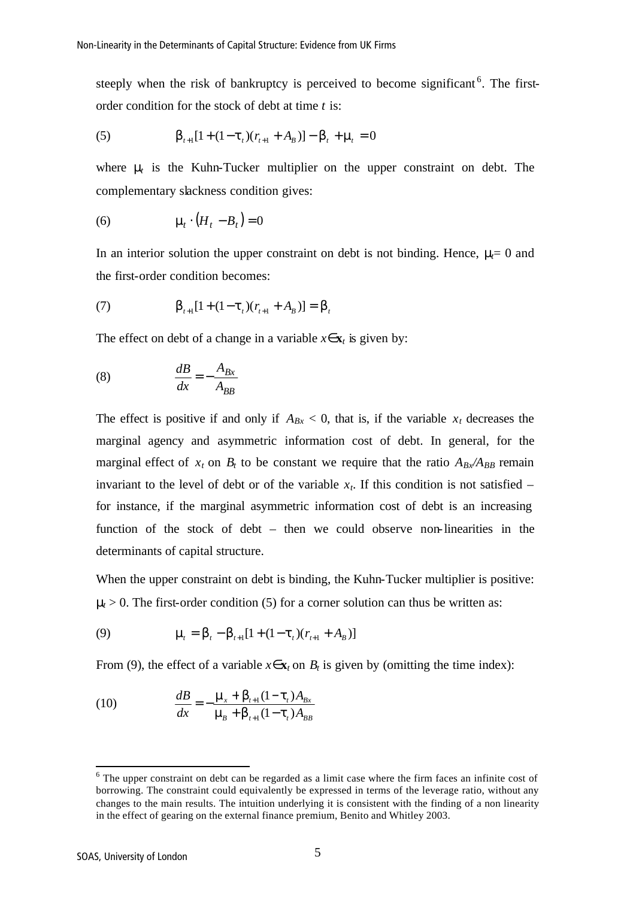steeply when the risk of bankruptcy is perceived to become significant<sup>6</sup>. The firstorder condition for the stock of debt at time *t* is:

(5) 
$$
\boldsymbol{b}_{t+1}[1+(1-\boldsymbol{t}_{t})(r_{t+1}+A_{B})]-\boldsymbol{b}_{t}+\boldsymbol{m}_{t}=0
$$

where **m** is the Kuhn-Tucker multiplier on the upper constraint on debt. The complementary slackness condition gives:

$$
(6) \qquad \qquad \mathbf{m}_t \cdot (H_t - B_t) = 0
$$

In an interior solution the upper constraint on debt is not binding. Hence, *mt*= 0 and the first-order condition becomes:

(7) 
$$
\boldsymbol{b}_{t+1}[1+(1-\boldsymbol{t}_{t})(r_{t+1}+A_{B})]=\boldsymbol{b}_{t}
$$

The effect on debt of a change in a variable  $x \in \mathbf{x}$ *t* is given by:

$$
\frac{dB}{dx} = -\frac{A_{Bx}}{A_{BB}}
$$

The effect is positive if and only if  $A_{Bx} < 0$ , that is, if the variable  $x_t$  decreases the marginal agency and asymmetric information cost of debt. In general, for the marginal effect of  $x_t$  on  $B_t$  to be constant we require that the ratio  $A_{Bx}/A_{BB}$  remain invariant to the level of debt or of the variable  $x_t$ . If this condition is not satisfied – for instance, if the marginal asymmetric information cost of debt is an increasing function of the stock of debt – then we could observe non-linearities in the determinants of capital structure.

When the upper constraint on debt is binding, the Kuhn-Tucker multiplier is positive:  $m > 0$ . The first-order condition (5) for a corner solution can thus be written as:

(9) 
$$
\mathbf{m}_t = \mathbf{b}_t - \mathbf{b}_{t+1} [1 + (1 - \mathbf{t}_t)(r_{t+1} + A_B)]
$$

From (9), the effect of a variable  $x \in \mathbf{x}_t$  on  $B_t$  is given by (omitting the time index):

(10) 
$$
\frac{dB}{dx} = -\frac{\mathbf{m}_x + \mathbf{b}_{t+1}(1 - \mathbf{t}_t)A_{Bx}}{\mathbf{m}_B + \mathbf{b}_{t+1}(1 - \mathbf{t}_t)A_{BB}}
$$

 $6$  The upper constraint on debt can be regarded as a limit case where the firm faces an infinite cost of borrowing. The constraint could equivalently be expressed in terms of the leverage ratio, without any changes to the main results. The intuition underlying it is consistent with the finding of a non linearity in the effect of gearing on the external finance premium, Benito and Whitley 2003.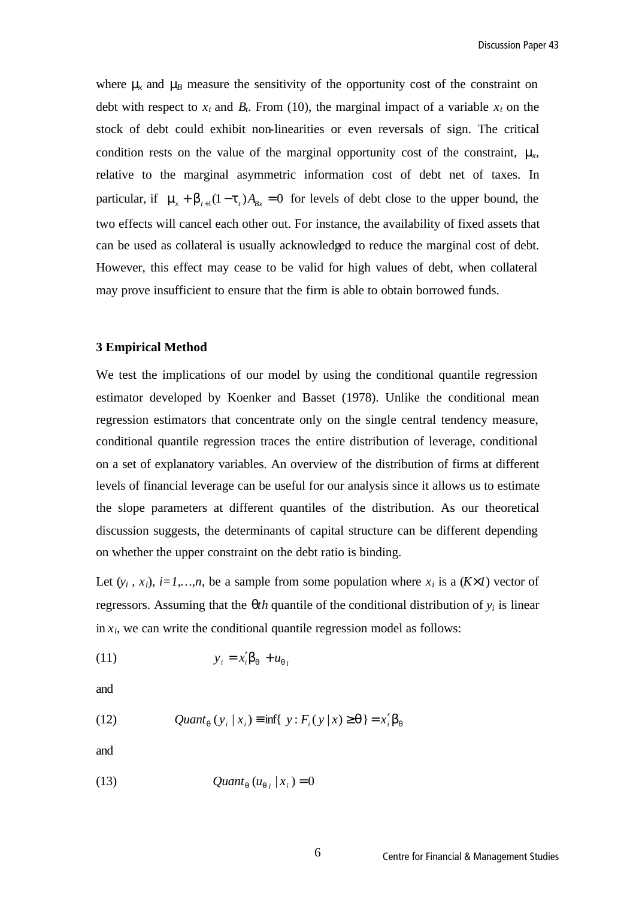where **m**<sub>*x*</sub> and **m**<sub>*B*</sub> measure the sensitivity of the opportunity cost of the constraint on debt with respect to  $x_t$  and  $B_t$ . From (10), the marginal impact of a variable  $x_t$  on the stock of debt could exhibit non-linearities or even reversals of sign. The critical condition rests on the value of the marginal opportunity cost of the constraint, *mx*, relative to the marginal asymmetric information cost of debt net of taxes. In particular, if  $\mathbf{m}_{\mathbf{x}} + \mathbf{b}_{t+1}(1 - \mathbf{t}_{t})A_{Bx} = 0$  for levels of debt close to the upper bound, the two effects will cancel each other out. For instance, the availability of fixed assets that can be used as collateral is usually acknowledged to reduce the marginal cost of debt. However, this effect may cease to be valid for high values of debt, when collateral may prove insufficient to ensure that the firm is able to obtain borrowed funds.

#### **3 Empirical Method**

We test the implications of our model by using the conditional quantile regression estimator developed by Koenker and Basset (1978). Unlike the conditional mean regression estimators that concentrate only on the single central tendency measure, conditional quantile regression traces the entire distribution of leverage, conditional on a set of explanatory variables. An overview of the distribution of firms at different levels of financial leverage can be useful for our analysis since it allows us to estimate the slope parameters at different quantiles of the distribution. As our theoretical discussion suggests, the determinants of capital structure can be different depending on whether the upper constraint on the debt ratio is binding.

Let  $(y_i, x_i)$ ,  $i=1,...,n$ , be a sample from some population where  $x_i$  is a  $(K<sup>1</sup>)$  vector of regressors. Assuming that the  $q$ *th* quantile of the conditional distribution of  $y_i$  is linear in  $x_i$ , we can write the conditional quantile regression model as follows:

$$
(11) \t\t\t y_i = x_i' \mathbf{b}_q + u_{qi}
$$

and

(12) 
$$
Quant_{q}(y_{i} | x_{i}) \equiv \inf \{ y : F_{i}(y | x) \geq q \} = x'_{i} b_{q}
$$

and

$$
(13) \t\t Quantq (uqi | xi) = 0
$$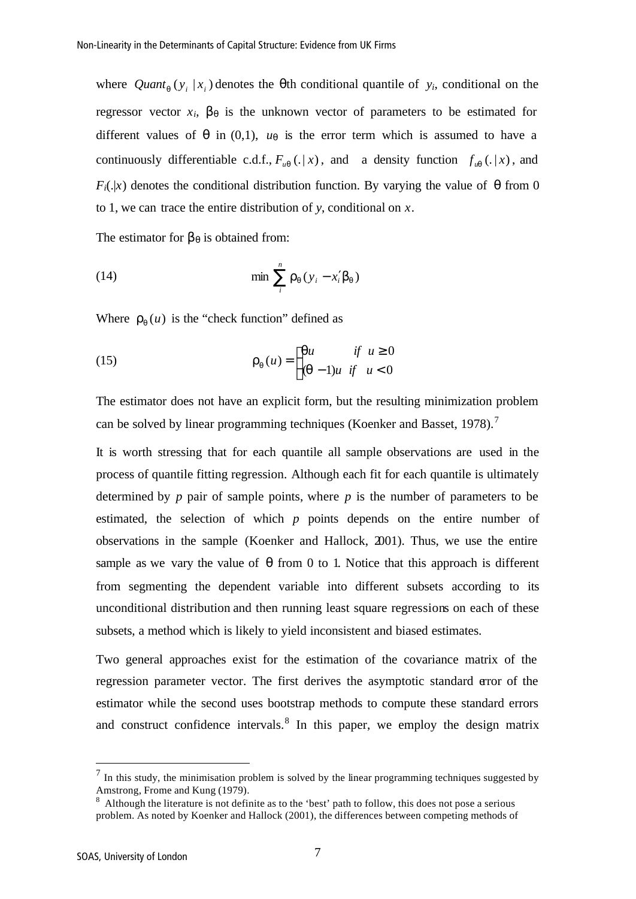where  $Quant_{q}(y_{i} | x_{i})$  denotes the **q**th conditional quantile of *y<sub>i</sub>*, conditional on the regressor vector  $x_i$ ,  $b_q$  is the unknown vector of parameters to be estimated for different values of  $q$  in (0,1),  $u_q$  is the error term which is assumed to have a continuously differentiable c.d.f.,  $F_{uq}(.|x)$ , and a density function  $f_{uq}(.|x)$ , and  $F_i(.|x)$  denotes the conditional distribution function. By varying the value of *q* from 0 to 1, we can trace the entire distribution of *y*, conditional on *x*.

The estimator for  $b_q$  is obtained from:

(14) 
$$
\min \sum_{i}^{n} \mathbf{r}_q(y_i - x_i' \mathbf{b}_q)
$$

Where  $r_q(u)$  is the "check function" defined as

(15) 
$$
\mathbf{r}_q(u) = \begin{cases} qu & \text{if } u \ge 0 \\ (q-1)u & \text{if } u < 0 \end{cases}
$$

The estimator does not have an explicit form, but the resulting minimization problem can be solved by linear programming techniques (Koenker and Basset, 1978).<sup>7</sup>

It is worth stressing that for each quantile all sample observations are used in the process of quantile fitting regression. Although each fit for each quantile is ultimately determined by *p* pair of sample points, where *p* is the number of parameters to be estimated, the selection of which *p* points depends on the entire number of observations in the sample (Koenker and Hallock, 2001). Thus, we use the entire sample as we vary the value of *q* from 0 to 1. Notice that this approach is different from segmenting the dependent variable into different subsets according to its unconditional distribution and then running least square regressions on each of these subsets, a method which is likely to yield inconsistent and biased estimates.

Two general approaches exist for the estimation of the covariance matrix of the regression parameter vector. The first derives the asymptotic standard error of the estimator while the second uses bootstrap methods to compute these standard errors and construct confidence intervals. $8\text{ In this paper, we employ the design matrix}$ 

 $<sup>7</sup>$  In this study, the minimisation problem is solved by the linear programming techniques suggested by</sup> Amstrong, Frome and Kung (1979).

 $8$  Although the literature is not definite as to the 'best' path to follow, this does not pose a serious problem. As noted by Koenker and Hallock (2001), the differences between competing methods of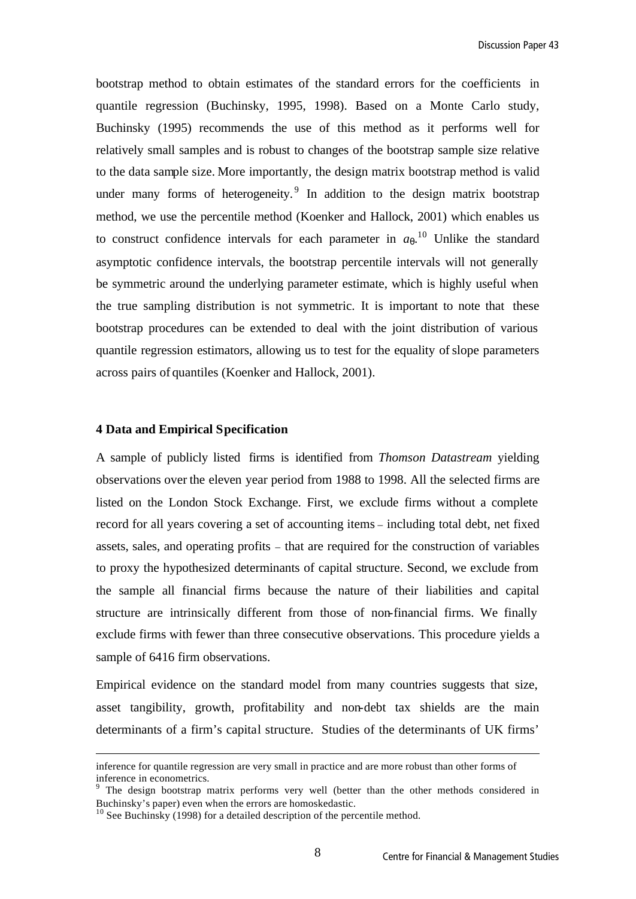bootstrap method to obtain estimates of the standard errors for the coefficients in quantile regression (Buchinsky, 1995, 1998). Based on a Monte Carlo study, Buchinsky (1995) recommends the use of this method as it performs well for relatively small samples and is robust to changes of the bootstrap sample size relative to the data sample size. More importantly, the design matrix bootstrap method is valid under many forms of heterogeneity.<sup>9</sup> In addition to the design matrix bootstrap method, we use the percentile method (Koenker and Hallock, 2001) which enables us to construct confidence intervals for each parameter in  $a_{q}$ <sup>10</sup> Unlike the standard asymptotic confidence intervals, the bootstrap percentile intervals will not generally be symmetric around the underlying parameter estimate, which is highly useful when the true sampling distribution is not symmetric. It is important to note that these bootstrap procedures can be extended to deal with the joint distribution of various quantile regression estimators, allowing us to test for the equality of slope parameters across pairs of quantiles (Koenker and Hallock, 2001).

#### **4 Data and Empirical Specification**

l

A sample of publicly listed firms is identified from *Thomson Datastream* yielding observations over the eleven year period from 1988 to 1998. All the selected firms are listed on the London Stock Exchange. First, we exclude firms without a complete record for all years covering a set of accounting items – including total debt, net fixed assets, sales, and operating profits – that are required for the construction of variables to proxy the hypothesized determinants of capital structure. Second, we exclude from the sample all financial firms because the nature of their liabilities and capital structure are intrinsically different from those of non-financial firms. We finally exclude firms with fewer than three consecutive observations. This procedure yields a sample of 6416 firm observations.

Empirical evidence on the standard model from many countries suggests that size, asset tangibility, growth, profitability and non-debt tax shields are the main determinants of a firm's capital structure. Studies of the determinants of UK firms'

inference for quantile regression are very small in practice and are more robust than other forms of inference in econometrics.

<sup>&</sup>lt;sup>9</sup> The design bootstrap matrix performs very well (better than the other methods considered in Buchinsky's paper) even when the errors are homoskedastic.

<sup>&</sup>lt;sup>10</sup> See Buchinsky (1998) for a detailed description of the percentile method.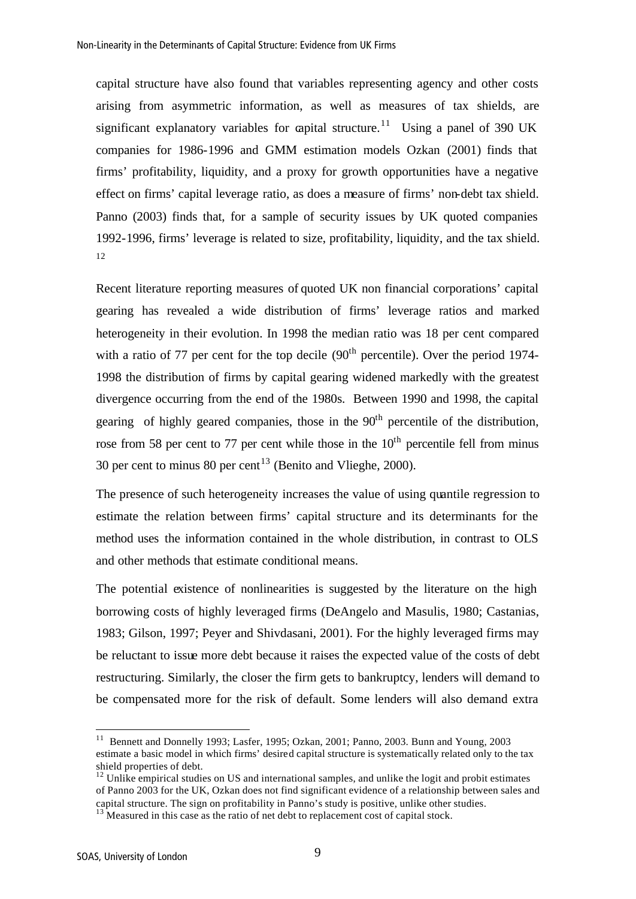capital structure have also found that variables representing agency and other costs arising from asymmetric information, as well as measures of tax shields, are significant explanatory variables for capital structure.<sup>11</sup> Using a panel of 390 UK companies for 1986-1996 and GMM estimation models Ozkan (2001) finds that firms' profitability, liquidity, and a proxy for growth opportunities have a negative effect on firms' capital leverage ratio, as does a measure of firms' non-debt tax shield. Panno (2003) finds that, for a sample of security issues by UK quoted companies 1992-1996, firms' leverage is related to size, profitability, liquidity, and the tax shield.  $12$ 

Recent literature reporting measures of quoted UK non financial corporations' capital gearing has revealed a wide distribution of firms' leverage ratios and marked heterogeneity in their evolution. In 1998 the median ratio was 18 per cent compared with a ratio of 77 per cent for the top decile  $(90<sup>th</sup>$  percentile). Over the period 1974-1998 the distribution of firms by capital gearing widened markedly with the greatest divergence occurring from the end of the 1980s. Between 1990 and 1998, the capital gearing of highly geared companies, those in the  $90<sup>th</sup>$  percentile of the distribution, rose from 58 per cent to 77 per cent while those in the  $10<sup>th</sup>$  percentile fell from minus 30 per cent to minus 80 per cent<sup>13</sup> (Benito and Vlieghe, 2000).

The presence of such heterogeneity increases the value of using quantile regression to estimate the relation between firms' capital structure and its determinants for the method uses the information contained in the whole distribution, in contrast to OLS and other methods that estimate conditional means.

The potential existence of nonlinearities is suggested by the literature on the high borrowing costs of highly leveraged firms (DeAngelo and Masulis, 1980; Castanias, 1983; Gilson, 1997; Peyer and Shivdasani, 2001). For the highly leveraged firms may be reluctant to issue more debt because it raises the expected value of the costs of debt restructuring. Similarly, the closer the firm gets to bankruptcy, lenders will demand to be compensated more for the risk of default. Some lenders will also demand extra

<sup>&</sup>lt;sup>11</sup> Bennett and Donnelly 1993; Lasfer, 1995; Ozkan, 2001; Panno, 2003. Bunn and Young, 2003 estimate a basic model in which firms' desired capital structure is systematically related only to the tax shield properties of debt.

<sup>&</sup>lt;sup>12</sup> Unlike empirical studies on US and international samples, and unlike the logit and probit estimates of Panno 2003 for the UK, Ozkan does not find significant evidence of a relationship between sales and capital structure. The sign on profitability in Panno's study is positive, unlike other studies.

 $13 \text{ N}$  Measured in this case as the ratio of net debt to replacement cost of capital stock.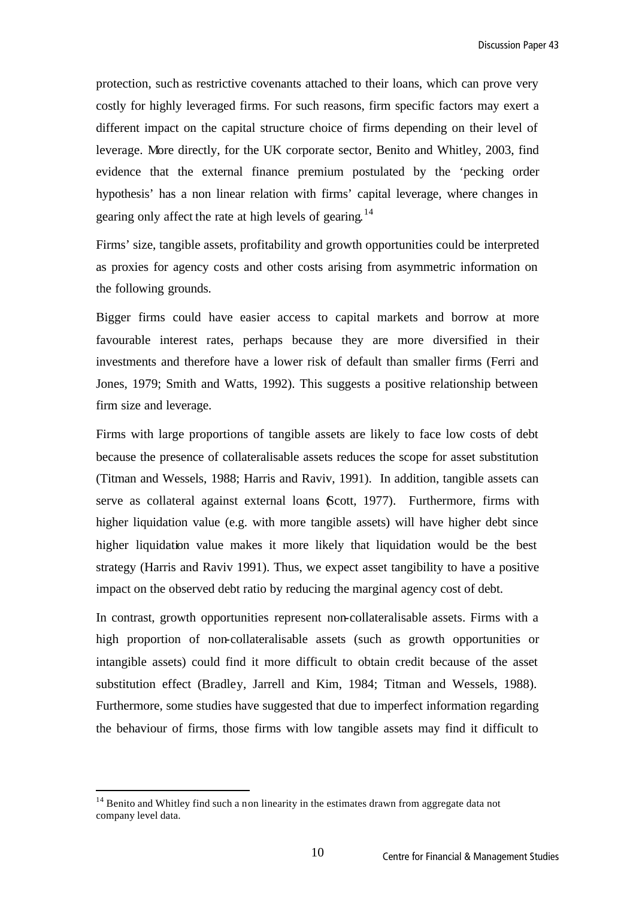protection, such as restrictive covenants attached to their loans, which can prove very costly for highly leveraged firms. For such reasons, firm specific factors may exert a different impact on the capital structure choice of firms depending on their level of leverage. More directly, for the UK corporate sector, Benito and Whitley, 2003, find evidence that the external finance premium postulated by the 'pecking order hypothesis' has a non linear relation with firms' capital leverage, where changes in gearing only affect the rate at high levels of gearing.<sup>14</sup>

Firms' size, tangible assets, profitability and growth opportunities could be interpreted as proxies for agency costs and other costs arising from asymmetric information on the following grounds.

Bigger firms could have easier access to capital markets and borrow at more favourable interest rates, perhaps because they are more diversified in their investments and therefore have a lower risk of default than smaller firms (Ferri and Jones, 1979; Smith and Watts, 1992). This suggests a positive relationship between firm size and leverage.

Firms with large proportions of tangible assets are likely to face low costs of debt because the presence of collateralisable assets reduces the scope for asset substitution (Titman and Wessels, 1988; Harris and Raviv, 1991). In addition, tangible assets can serve as collateral against external loans (Scott, 1977). Furthermore, firms with higher liquidation value (e.g. with more tangible assets) will have higher debt since higher liquidation value makes it more likely that liquidation would be the best strategy (Harris and Raviv 1991). Thus, we expect asset tangibility to have a positive impact on the observed debt ratio by reducing the marginal agency cost of debt.

In contrast, growth opportunities represent non-collateralisable assets. Firms with a high proportion of non-collateralisable assets (such as growth opportunities or intangible assets) could find it more difficult to obtain credit because of the asset substitution effect (Bradley, Jarrell and Kim, 1984; Titman and Wessels, 1988). Furthermore, some studies have suggested that due to imperfect information regarding the behaviour of firms, those firms with low tangible assets may find it difficult to

<sup>&</sup>lt;sup>14</sup> Benito and Whitley find such a non linearity in the estimates drawn from aggregate data not company level data.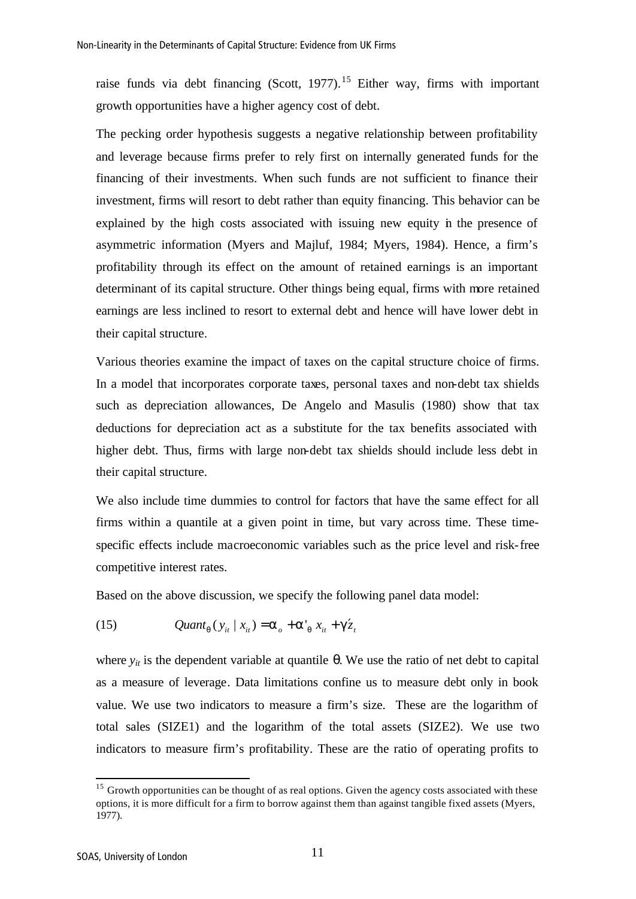raise funds via debt financing (Scott, 1977).<sup>15</sup> Either way, firms with important growth opportunities have a higher agency cost of debt.

The pecking order hypothesis suggests a negative relationship between profitability and leverage because firms prefer to rely first on internally generated funds for the financing of their investments. When such funds are not sufficient to finance their investment, firms will resort to debt rather than equity financing. This behavior can be explained by the high costs associated with issuing new equity in the presence of asymmetric information (Myers and Majluf, 1984; Myers, 1984). Hence, a firm's profitability through its effect on the amount of retained earnings is an important determinant of its capital structure. Other things being equal, firms with more retained earnings are less inclined to resort to external debt and hence will have lower debt in their capital structure.

Various theories examine the impact of taxes on the capital structure choice of firms. In a model that incorporates corporate taxes, personal taxes and non-debt tax shields such as depreciation allowances, De Angelo and Masulis (1980) show that tax deductions for depreciation act as a substitute for the tax benefits associated with higher debt. Thus, firms with large non-debt tax shields should include less debt in their capital structure.

We also include time dummies to control for factors that have the same effect for all firms within a quantile at a given point in time, but vary across time. These timespecific effects include macroeconomic variables such as the price level and risk-free competitive interest rates.

Based on the above discussion, we specify the following panel data model:

(15) 
$$
Quant_{q}(y_{it} | x_{it}) = \mathbf{a}_{o} + \mathbf{a'}_{q} x_{it} + \mathbf{g'}_{z_{it}}
$$

where  $y<sub>it</sub>$  is the dependent variable at quantile θ. We use the ratio of net debt to capital as a measure of leverage. Data limitations confine us to measure debt only in book value. We use two indicators to measure a firm's size. These are the logarithm of total sales (SIZE1) and the logarithm of the total assets (SIZE2). We use two indicators to measure firm's profitability. These are the ratio of operating profits to

<sup>&</sup>lt;sup>15</sup> Growth opportunities can be thought of as real options. Given the agency costs associated with these options, it is more difficult for a firm to borrow against them than against tangible fixed assets (Myers, 1977).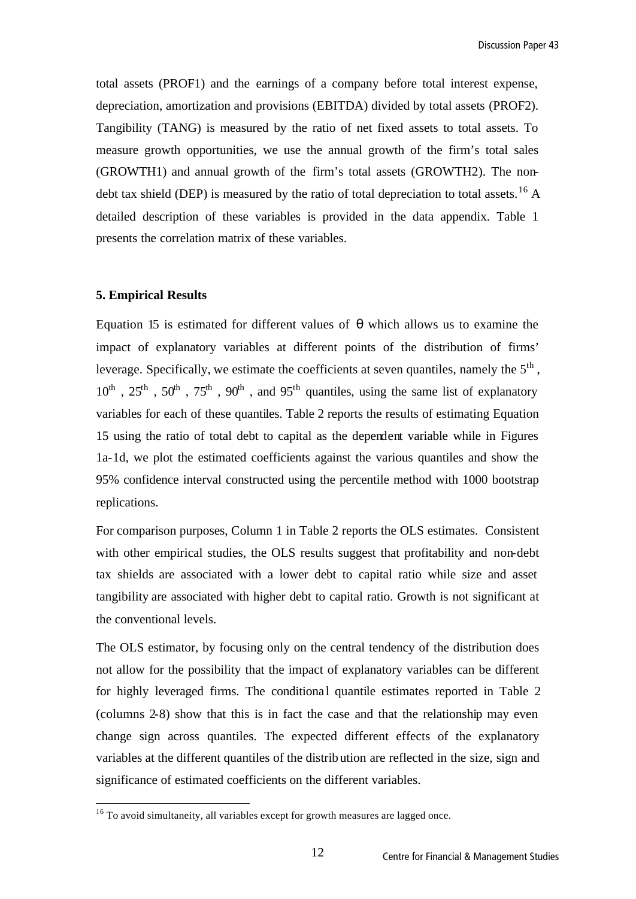total assets (PROF1) and the earnings of a company before total interest expense, depreciation, amortization and provisions (EBITDA) divided by total assets (PROF2). Tangibility (TANG) is measured by the ratio of net fixed assets to total assets. To measure growth opportunities, we use the annual growth of the firm's total sales (GROWTH1) and annual growth of the firm's total assets (GROWTH2). The nondebt tax shield (DEP) is measured by the ratio of total depreciation to total assets.<sup>16</sup> A detailed description of these variables is provided in the data appendix. Table 1 presents the correlation matrix of these variables.

#### **5. Empirical Results**

l

Equation 15 is estimated for different values of *q* which allows us to examine the impact of explanatory variables at different points of the distribution of firms' leverage. Specifically, we estimate the coefficients at seven quantiles, namely the  $5<sup>th</sup>$ ,  $10^{th}$ ,  $25^{th}$ ,  $50^{th}$ ,  $75^{th}$ ,  $90^{th}$ , and  $95^{th}$  quantiles, using the same list of explanatory variables for each of these quantiles. Table 2 reports the results of estimating Equation 15 using the ratio of total debt to capital as the dependent variable while in Figures 1a-1d, we plot the estimated coefficients against the various quantiles and show the 95% confidence interval constructed using the percentile method with 1000 bootstrap replications.

For comparison purposes, Column 1 in Table 2 reports the OLS estimates. Consistent with other empirical studies, the OLS results suggest that profitability and non-debt tax shields are associated with a lower debt to capital ratio while size and asset tangibility are associated with higher debt to capital ratio. Growth is not significant at the conventional levels.

The OLS estimator, by focusing only on the central tendency of the distribution does not allow for the possibility that the impact of explanatory variables can be different for highly leveraged firms. The conditional quantile estimates reported in Table 2 (columns 2-8) show that this is in fact the case and that the relationship may even change sign across quantiles. The expected different effects of the explanatory variables at the different quantiles of the distribution are reflected in the size, sign and significance of estimated coefficients on the different variables.

 $16$  To avoid simultaneity, all variables except for growth measures are lagged once.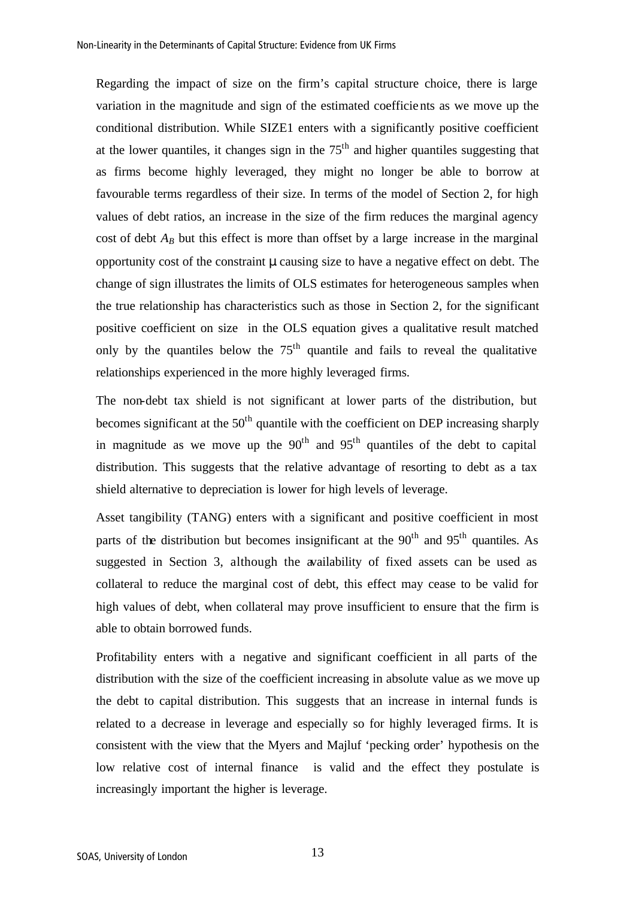Regarding the impact of size on the firm's capital structure choice, there is large variation in the magnitude and sign of the estimated coefficients as we move up the conditional distribution. While SIZE1 enters with a significantly positive coefficient at the lower quantiles, it changes sign in the  $75<sup>th</sup>$  and higher quantiles suggesting that as firms become highly leveraged, they might no longer be able to borrow at favourable terms regardless of their size. In terms of the model of Section 2, for high values of debt ratios, an increase in the size of the firm reduces the marginal agency cost of debt  $A_B$  but this effect is more than offset by a large increase in the marginal opportunity cost of the constraint *m* causing size to have a negative effect on debt. The change of sign illustrates the limits of OLS estimates for heterogeneous samples when the true relationship has characteristics such as those in Section 2, for the significant positive coefficient on size in the OLS equation gives a qualitative result matched only by the quantiles below the  $75<sup>th</sup>$  quantile and fails to reveal the qualitative relationships experienced in the more highly leveraged firms.

The non-debt tax shield is not significant at lower parts of the distribution, but becomes significant at the  $50<sup>th</sup>$  quantile with the coefficient on DEP increasing sharply in magnitude as we move up the  $90<sup>th</sup>$  and  $95<sup>th</sup>$  quantiles of the debt to capital distribution. This suggests that the relative advantage of resorting to debt as a tax shield alternative to depreciation is lower for high levels of leverage.

Asset tangibility (TANG) enters with a significant and positive coefficient in most parts of the distribution but becomes insignificant at the  $90<sup>th</sup>$  and  $95<sup>th</sup>$  quantiles. As suggested in Section 3, although the availability of fixed assets can be used as collateral to reduce the marginal cost of debt, this effect may cease to be valid for high values of debt, when collateral may prove insufficient to ensure that the firm is able to obtain borrowed funds.

Profitability enters with a negative and significant coefficient in all parts of the distribution with the size of the coefficient increasing in absolute value as we move up the debt to capital distribution. This suggests that an increase in internal funds is related to a decrease in leverage and especially so for highly leveraged firms. It is consistent with the view that the Myers and Majluf 'pecking order' hypothesis on the low relative cost of internal finance is valid and the effect they postulate is increasingly important the higher is leverage.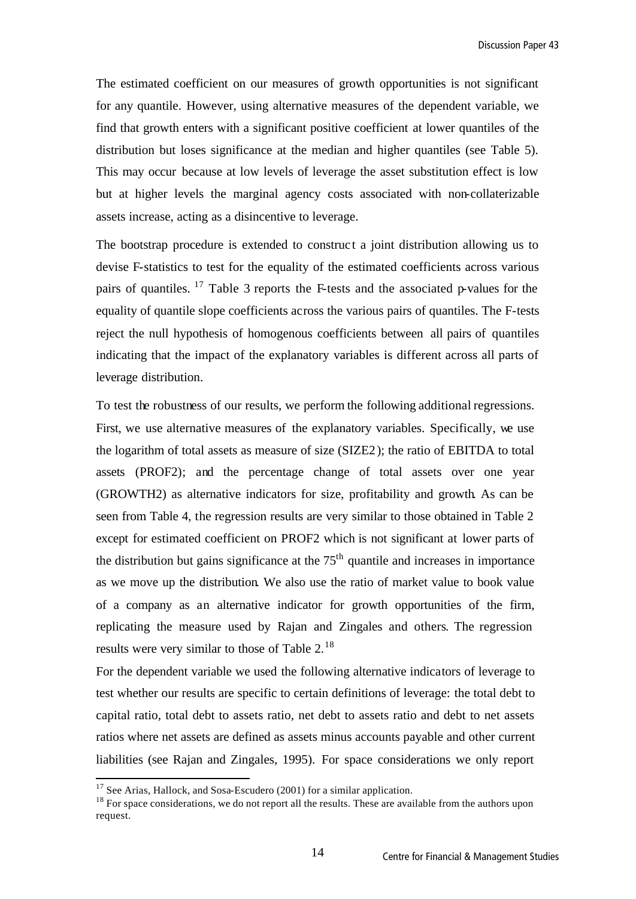The estimated coefficient on our measures of growth opportunities is not significant for any quantile. However, using alternative measures of the dependent variable, we find that growth enters with a significant positive coefficient at lower quantiles of the distribution but loses significance at the median and higher quantiles (see Table 5). This may occur because at low levels of leverage the asset substitution effect is low but at higher levels the marginal agency costs associated with non-collaterizable assets increase, acting as a disincentive to leverage.

The bootstrap procedure is extended to construct a joint distribution allowing us to devise F-statistics to test for the equality of the estimated coefficients across various pairs of quantiles.  $17$  Table 3 reports the F-tests and the associated p-values for the equality of quantile slope coefficients across the various pairs of quantiles. The F-tests reject the null hypothesis of homogenous coefficients between all pairs of quantiles indicating that the impact of the explanatory variables is different across all parts of leverage distribution.

To test the robustness of our results, we perform the following additional regressions. First, we use alternative measures of the explanatory variables. Specifically, we use the logarithm of total assets as measure of size (SIZE2); the ratio of EBITDA to total assets (PROF2); and the percentage change of total assets over one year (GROWTH2) as alternative indicators for size, profitability and growth. As can be seen from Table 4, the regression results are very similar to those obtained in Table 2 except for estimated coefficient on PROF2 which is not significant at lower parts of the distribution but gains significance at the  $75<sup>th</sup>$  quantile and increases in importance as we move up the distribution. We also use the ratio of market value to book value of a company as an alternative indicator for growth opportunities of the firm, replicating the measure used by Rajan and Zingales and others. The regression results were very similar to those of Table 2.<sup>18</sup>

For the dependent variable we used the following alternative indicators of leverage to test whether our results are specific to certain definitions of leverage: the total debt to capital ratio, total debt to assets ratio, net debt to assets ratio and debt to net assets ratios where net assets are defined as assets minus accounts payable and other current liabilities (see Rajan and Zingales, 1995). For space considerations we only report

 $17$  See Arias, Hallock, and Sosa-Escudero (2001) for a similar application.

<sup>&</sup>lt;sup>18</sup> For space considerations, we do not report all the results. These are available from the authors upon request.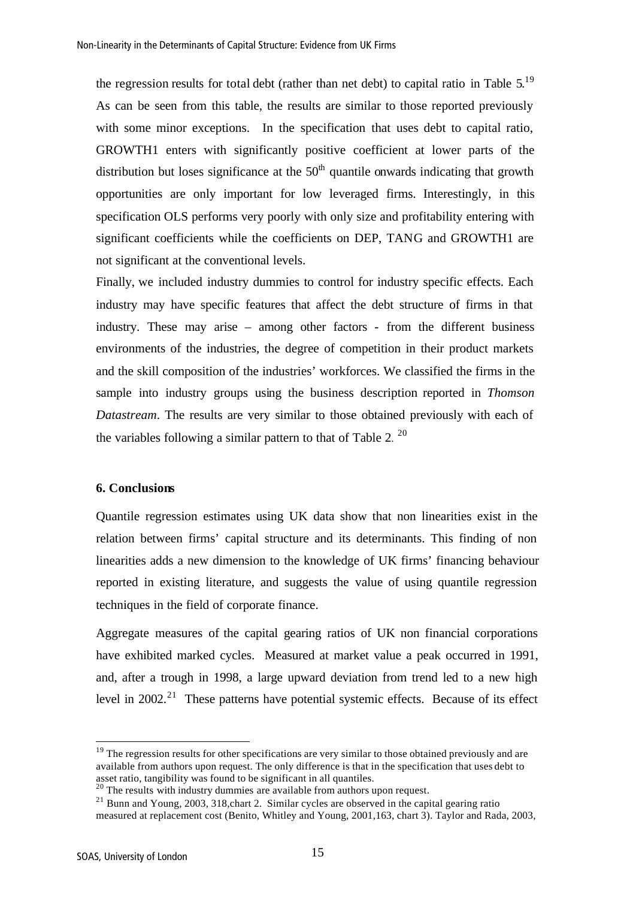the regression results for total debt (rather than net debt) to capital ratio in Table  $5.^{19}$ As can be seen from this table, the results are similar to those reported previously with some minor exceptions. In the specification that uses debt to capital ratio, GROWTH1 enters with significantly positive coefficient at lower parts of the distribution but loses significance at the  $50<sup>th</sup>$  quantile onwards indicating that growth opportunities are only important for low leveraged firms. Interestingly, in this specification OLS performs very poorly with only size and profitability entering with significant coefficients while the coefficients on DEP, TANG and GROWTH1 are not significant at the conventional levels.

Finally, we included industry dummies to control for industry specific effects. Each industry may have specific features that affect the debt structure of firms in that industry. These may arise – among other factors - from the different business environments of the industries, the degree of competition in their product markets and the skill composition of the industries' workforces. We classified the firms in the sample into industry groups using the business description reported in *Thomson Datastream*. The results are very similar to those obtained previously with each of the variables following a similar pattern to that of Table 2.  $20$ 

#### **6. Conclusions**

Quantile regression estimates using UK data show that non linearities exist in the relation between firms' capital structure and its determinants. This finding of non linearities adds a new dimension to the knowledge of UK firms' financing behaviour reported in existing literature, and suggests the value of using quantile regression techniques in the field of corporate finance.

Aggregate measures of the capital gearing ratios of UK non financial corporations have exhibited marked cycles. Measured at market value a peak occurred in 1991, and, after a trough in 1998, a large upward deviation from trend led to a new high level in  $2002<sup>21</sup>$  These patterns have potential systemic effects. Because of its effect

 $19$  The regression results for other specifications are very similar to those obtained previously and are available from authors upon request. The only difference is that in the specification that uses debt to asset ratio, tangibility was found to be significant in all quantiles.

<sup>&</sup>lt;sup>20</sup> The results with industry dummies are available from authors upon request.

<sup>&</sup>lt;sup>21</sup> Bunn and Young, 2003, 318, chart 2. Similar cycles are observed in the capital gearing ratio measured at replacement cost (Benito, Whitley and Young, 2001,163, chart 3). Taylor and Rada, 2003,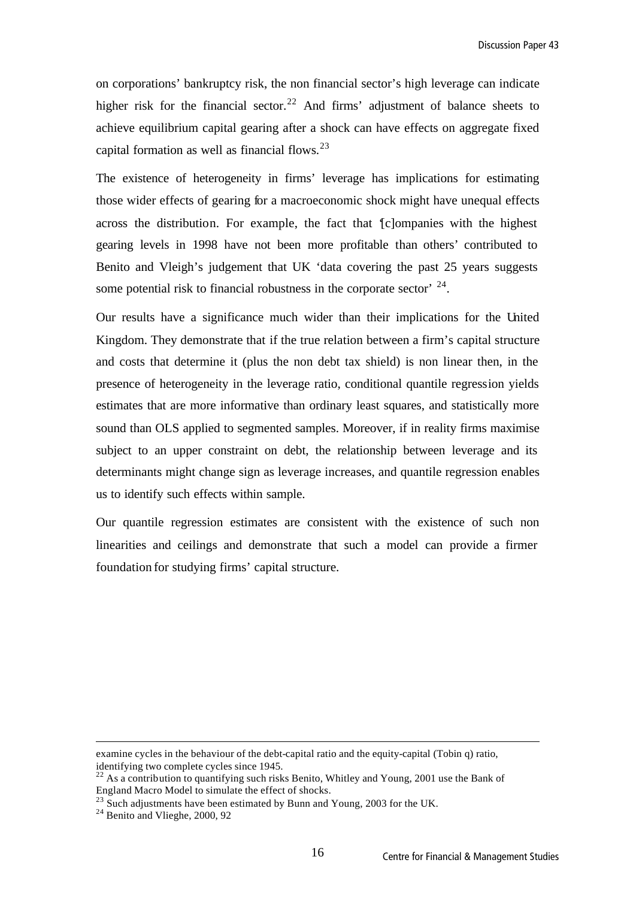on corporations' bankruptcy risk, the non financial sector's high leverage can indicate higher risk for the financial sector.<sup>22</sup> And firms' adjustment of balance sheets to achieve equilibrium capital gearing after a shock can have effects on aggregate fixed capital formation as well as financial flows.<sup>23</sup>

The existence of heterogeneity in firms' leverage has implications for estimating those wider effects of gearing for a macroeconomic shock might have unequal effects across the distribution. For example, the fact that '[c]ompanies with the highest gearing levels in 1998 have not been more profitable than others' contributed to Benito and Vleigh's judgement that UK 'data covering the past 25 years suggests some potential risk to financial robustness in the corporate sector'  $24$ .

Our results have a significance much wider than their implications for the United Kingdom. They demonstrate that if the true relation between a firm's capital structure and costs that determine it (plus the non debt tax shield) is non linear then, in the presence of heterogeneity in the leverage ratio, conditional quantile regression yields estimates that are more informative than ordinary least squares, and statistically more sound than OLS applied to segmented samples. Moreover, if in reality firms maximise subject to an upper constraint on debt, the relationship between leverage and its determinants might change sign as leverage increases, and quantile regression enables us to identify such effects within sample.

Our quantile regression estimates are consistent with the existence of such non linearities and ceilings and demonstrate that such a model can provide a firmer foundation for studying firms' capital structure.

examine cycles in the behaviour of the debt-capital ratio and the equity-capital (Tobin q) ratio, identifying two complete cycles since 1945.

<sup>&</sup>lt;sup>22</sup> As a contribution to quantifying such risks Benito, Whitley and Young, 2001 use the Bank of England Macro Model to simulate the effect of shocks.

 $23$  Such adjustments have been estimated by Bunn and Young, 2003 for the UK.

<sup>&</sup>lt;sup>24</sup> Benito and Vlieghe, 2000, 92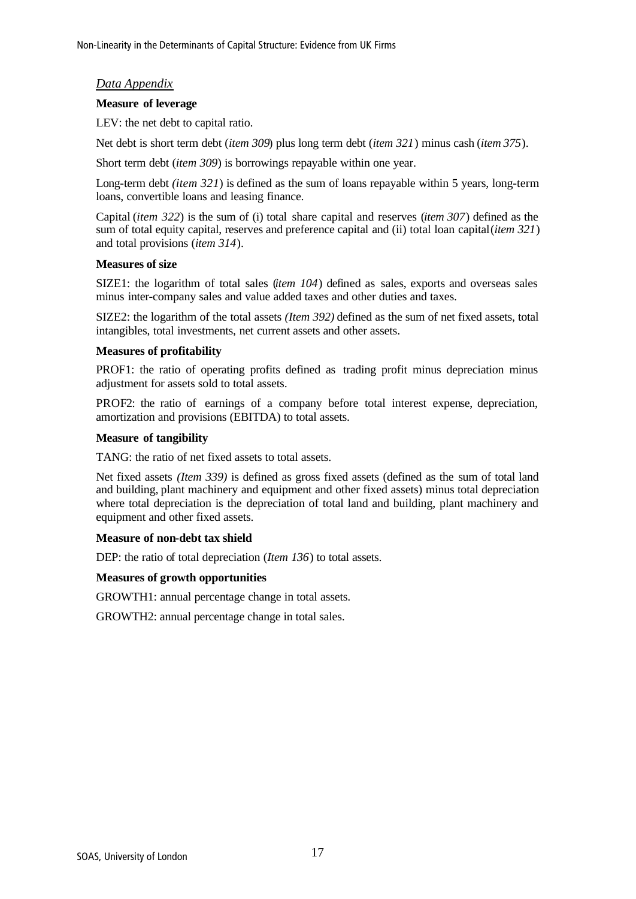### *Data Appendix*

#### **Measure of leverage**

LEV: the net debt to capital ratio.

Net debt is short term debt (*item 309*) plus long term debt (*item 321*) minus cash (*item 375*).

Short term debt (*item 309*) is borrowings repayable within one year.

Long-term debt *(item 321*) is defined as the sum of loans repayable within 5 years, long-term loans, convertible loans and leasing finance.

Capital (*item 322*) is the sum of (i) total share capital and reserves (*item 307*) defined as the sum of total equity capital, reserves and preference capital and (ii) total loan capital (*item 321*) and total provisions (*item 314*).

#### **Measures of size**

SIZE1: the logarithm of total sales (*item 104*) defined as sales, exports and overseas sales minus inter-company sales and value added taxes and other duties and taxes.

SIZE2: the logarithm of the total assets *(Item 392)* defined as the sum of net fixed assets, total intangibles, total investments, net current assets and other assets.

#### **Measures of profitability**

PROF1: the ratio of operating profits defined as trading profit minus depreciation minus adjustment for assets sold to total assets.

PROF2: the ratio of earnings of a company before total interest expense, depreciation, amortization and provisions (EBITDA) to total assets.

#### **Measure of tangibility**

TANG: the ratio of net fixed assets to total assets.

Net fixed assets *(Item 339)* is defined as gross fixed assets (defined as the sum of total land and building, plant machinery and equipment and other fixed assets) minus total depreciation where total depreciation is the depreciation of total land and building, plant machinery and equipment and other fixed assets.

#### **Measure of non-debt tax shield**

DEP: the ratio of total depreciation (*Item 136*) to total assets.

#### **Measures of growth opportunities**

GROWTH1: annual percentage change in total assets.

GROWTH2: annual percentage change in total sales.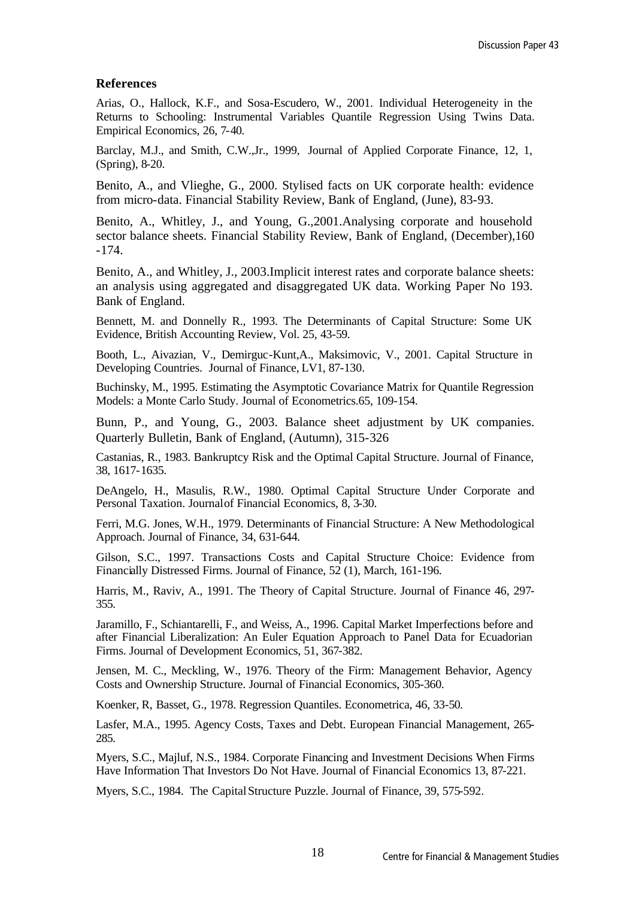#### **References**

Arias, O., Hallock, K.F., and Sosa-Escudero, W., 2001. Individual Heterogeneity in the Returns to Schooling: Instrumental Variables Quantile Regression Using Twins Data. Empirical Economics, 26, 7-40.

Barclay, M.J., and Smith, C.W.,Jr., 1999, Journal of Applied Corporate Finance, 12, 1, (Spring), 8-20.

Benito, A., and Vlieghe, G., 2000. Stylised facts on UK corporate health: evidence from micro-data. Financial Stability Review, Bank of England, (June), 83-93.

Benito, A., Whitley, J., and Young, G.,2001.Analysing corporate and household sector balance sheets. Financial Stability Review, Bank of England, (December),160 -174.

Benito, A., and Whitley, J., 2003.Implicit interest rates and corporate balance sheets: an analysis using aggregated and disaggregated UK data. Working Paper No 193. Bank of England.

Bennett, M. and Donnelly R., 1993. The Determinants of Capital Structure: Some UK Evidence, British Accounting Review, Vol. 25, 43-59.

Booth, L., Aivazian, V., Demirguc-Kunt,A., Maksimovic, V., 2001. Capital Structure in Developing Countries. Journal of Finance, LV1, 87-130.

Buchinsky, M., 1995. Estimating the Asymptotic Covariance Matrix for Quantile Regression Models: a Monte Carlo Study. Journal of Econometrics.65, 109-154.

Bunn, P., and Young, G., 2003. Balance sheet adjustment by UK companies. Quarterly Bulletin, Bank of England, (Autumn), 315-326

Castanias, R., 1983. Bankruptcy Risk and the Optimal Capital Structure. Journal of Finance, 38, 1617-1635.

DeAngelo, H., Masulis, R.W., 1980. Optimal Capital Structure Under Corporate and Personal Taxation. Journal of Financial Economics, 8, 3-30.

Ferri, M.G. Jones, W.H., 1979. Determinants of Financial Structure: A New Methodological Approach. Journal of Finance, 34, 631-644.

Gilson, S.C., 1997. Transactions Costs and Capital Structure Choice: Evidence from Financially Distressed Firms. Journal of Finance, 52 (1), March, 161-196.

Harris, M., Raviv, A., 1991. The Theory of Capital Structure. Journal of Finance 46, 297- 355.

Jaramillo, F., Schiantarelli, F., and Weiss, A., 1996. Capital Market Imperfections before and after Financial Liberalization: An Euler Equation Approach to Panel Data for Ecuadorian Firms. Journal of Development Economics, 51, 367-382.

Jensen, M. C., Meckling, W., 1976. Theory of the Firm: Management Behavior, Agency Costs and Ownership Structure. Journal of Financial Economics, 305-360.

Koenker, R, Basset, G., 1978. Regression Quantiles. Econometrica, 46, 33-50.

Lasfer, M.A., 1995. Agency Costs, Taxes and Debt. European Financial Management, 265- 285.

Myers, S.C., Majluf, N.S., 1984. Corporate Financing and Investment Decisions When Firms Have Information That Investors Do Not Have. Journal of Financial Economics 13, 87-221.

Myers, S.C., 1984. The CapitalStructure Puzzle. Journal of Finance, 39, 575-592.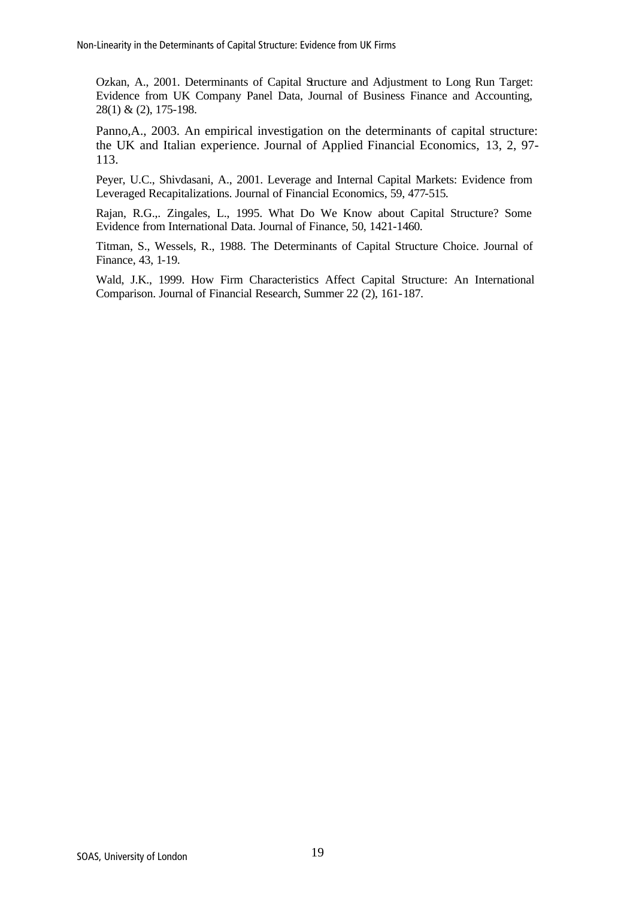Ozkan, A., 2001. Determinants of Capital Structure and Adjustment to Long Run Target: Evidence from UK Company Panel Data, Journal of Business Finance and Accounting, 28(1) & (2), 175-198.

Panno,A., 2003. An empirical investigation on the determinants of capital structure: the UK and Italian experience. Journal of Applied Financial Economics, 13, 2, 97- 113.

Peyer, U.C., Shivdasani, A., 2001. Leverage and Internal Capital Markets: Evidence from Leveraged Recapitalizations. Journal of Financial Economics, 59, 477-515.

Rajan, R.G.,. Zingales, L., 1995. What Do We Know about Capital Structure? Some Evidence from International Data. Journal of Finance, 50, 1421-1460.

Titman, S., Wessels, R., 1988. The Determinants of Capital Structure Choice. Journal of Finance, 43, 1-19.

Wald, J.K., 1999. How Firm Characteristics Affect Capital Structure: An International Comparison. Journal of Financial Research, Summer 22 (2), 161-187.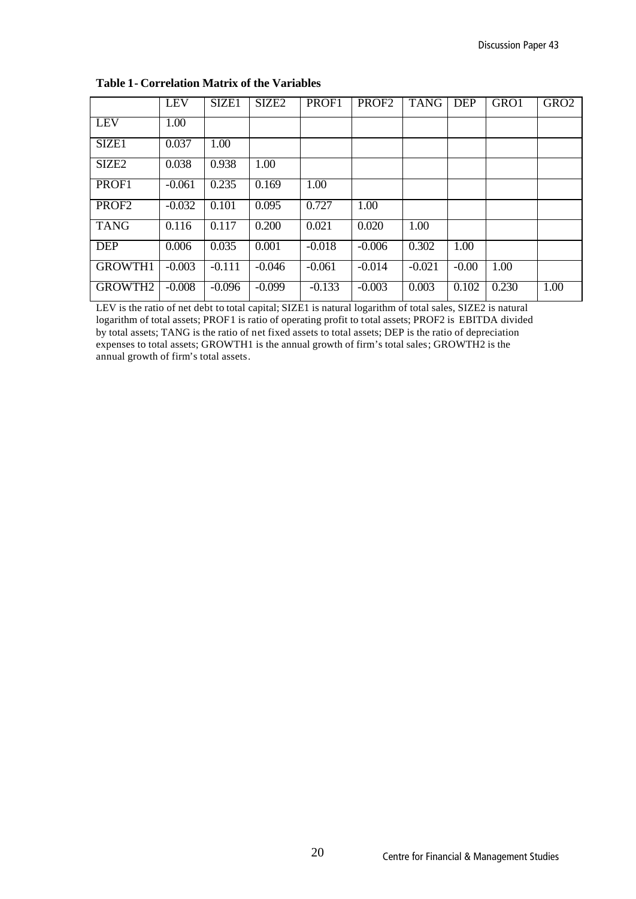|                   | <b>LEV</b> | SIZE1    | SIZE <sub>2</sub> | PROF1    | PROF <sub>2</sub> | <b>TANG</b> | DEP     | GRO1  | GRO <sub>2</sub> |
|-------------------|------------|----------|-------------------|----------|-------------------|-------------|---------|-------|------------------|
| <b>LEV</b>        | 1.00       |          |                   |          |                   |             |         |       |                  |
| SIZE1             | 0.037      | 1.00     |                   |          |                   |             |         |       |                  |
| SIZE <sub>2</sub> | 0.038      | 0.938    | 1.00              |          |                   |             |         |       |                  |
| PROF1             | $-0.061$   | 0.235    | 0.169             | 1.00     |                   |             |         |       |                  |
| PROF <sub>2</sub> | $-0.032$   | 0.101    | 0.095             | 0.727    | 1.00              |             |         |       |                  |
| <b>TANG</b>       | 0.116      | 0.117    | 0.200             | 0.021    | 0.020             | 1.00        |         |       |                  |
| <b>DEP</b>        | 0.006      | 0.035    | 0.001             | $-0.018$ | $-0.006$          | 0.302       | 1.00    |       |                  |
| <b>GROWTH1</b>    | $-0.003$   | $-0.111$ | $-0.046$          | $-0.061$ | $-0.014$          | $-0.021$    | $-0.00$ | 1.00  |                  |
| GROWTH2           | $-0.008$   | $-0.096$ | $-0.099$          | $-0.133$ | $-0.003$          | 0.003       | 0.102   | 0.230 | 1.00             |

### **Table 1- Correlation Matrix of the Variables**

LEV is the ratio of net debt to total capital; SIZE1 is natural logarithm of total sales, SIZE2 is natural logarithm of total assets; PROF1 is ratio of operating profit to total assets; PROF2 is EBITDA divided by total assets; TANG is the ratio of net fixed assets to total assets; DEP is the ratio of depreciation expenses to total assets; GROWTH1 is the annual growth of firm's total sales; GROWTH2 is the annual growth of firm's total assets.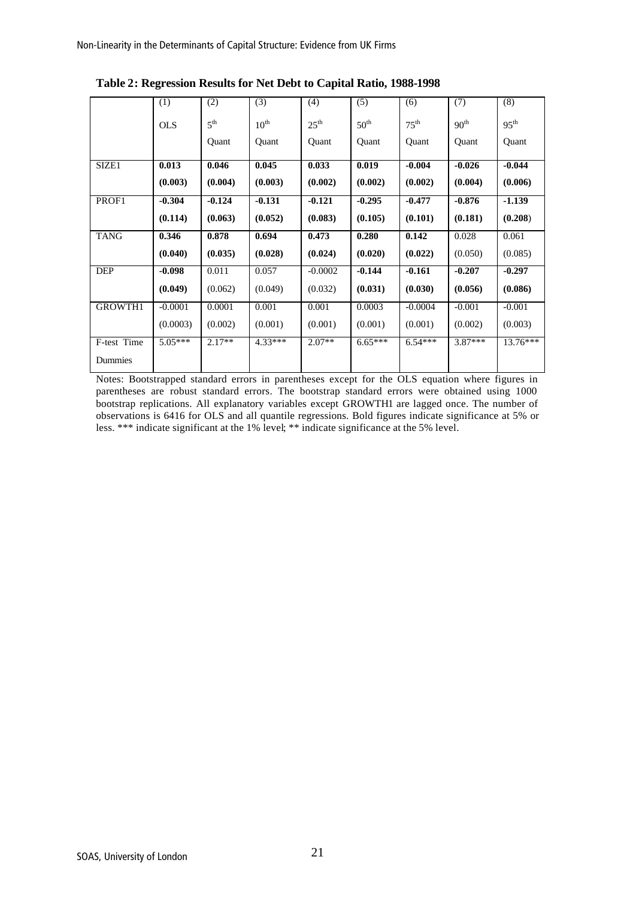|                | (1)        | (2)             | (3)              | (4)              | (5)              | (6)              | (7)              | (8)              |
|----------------|------------|-----------------|------------------|------------------|------------------|------------------|------------------|------------------|
|                | <b>OLS</b> | 5 <sup>th</sup> | $10^{\text{th}}$ | 25 <sup>th</sup> | 50 <sup>th</sup> | $75^{\text{th}}$ | 90 <sup>th</sup> | 95 <sup>th</sup> |
|                |            | Quant           | Quant            | Quant            | Quant            | Quant            | Quant            | Quant            |
| SIZE1          | 0.013      | 0.046           | 0.045            | 0.033            | 0.019            | $-0.004$         | $-0.026$         | $-0.044$         |
|                | (0.003)    | (0.004)         | (0.003)          | (0.002)          | (0.002)          | (0.002)          | (0.004)          | (0.006)          |
| PROF1          | $-0.304$   | $-0.124$        | $-0.131$         | $-0.121$         | $-0.295$         | $-0.477$         | $-0.876$         | $-1.139$         |
|                | (0.114)    | (0.063)         | (0.052)          | (0.083)          | (0.105)          | (0.101)          | (0.181)          | (0.208)          |
| <b>TANG</b>    | 0.346      | 0.878           | 0.694            | 0.473            | 0.280            | 0.142            | 0.028            | 0.061            |
|                | (0.040)    | (0.035)         | (0.028)          | (0.024)          | (0.020)          | (0.022)          | (0.050)          | (0.085)          |
| <b>DEP</b>     | $-0.098$   | 0.011           | 0.057            | $-0.0002$        | $-0.144$         | $-0.161$         | $-0.207$         | $-0.297$         |
|                | (0.049)    | (0.062)         | (0.049)          | (0.032)          | (0.031)          | (0.030)          | (0.056)          | (0.086)          |
| <b>GROWTH1</b> | $-0.0001$  | 0.0001          | 0.001            | 0.001            | 0.0003           | $-0.0004$        | $-0.001$         | $-0.001$         |
|                | (0.0003)   | (0.002)         | (0.001)          | (0.001)          | (0.001)          | (0.001)          | (0.002)          | (0.003)          |
| F-test Time    | $5.05***$  | $2.17**$        | $4.33***$        | $2.07**$         | $6.65***$        | $6.54***$        | $3.87***$        | $13.76***$       |
| Dummies        |            |                 |                  |                  |                  |                  |                  |                  |

**Table 2: Regression Results for Net Debt to Capital Ratio, 1988-1998**

Notes: Bootstrapped standard errors in parentheses except for the OLS equation where figures in parentheses are robust standard errors. The bootstrap standard errors were obtained using 1000 bootstrap replications. All explanatory variables except GROWTH1 are lagged once. The number of observations is 6416 for OLS and all quantile regressions. Bold figures indicate significance at 5% or less. \*\*\* indicate significant at the 1% level; \*\* indicate significance at the 5% level.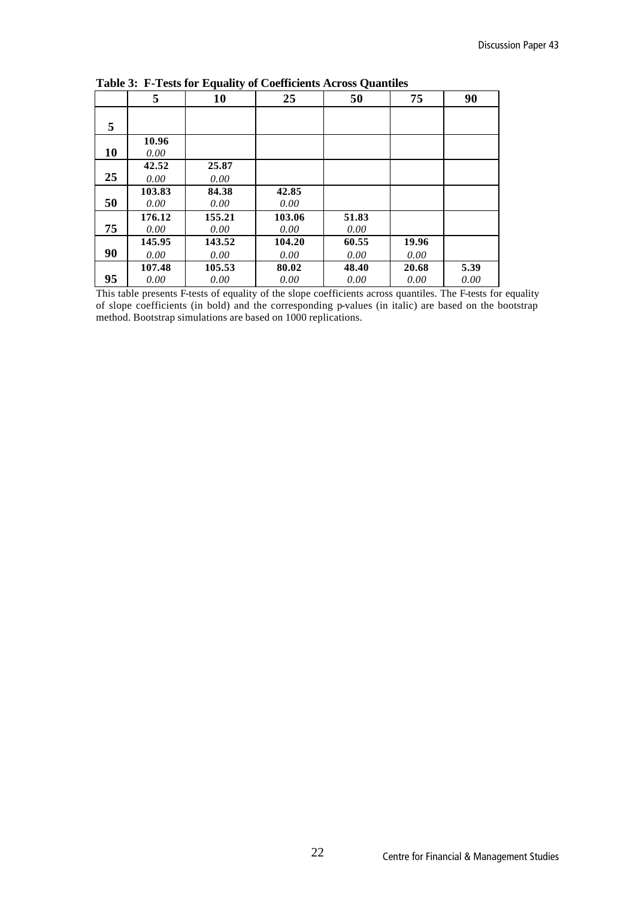|    | 5              | 10             | 25             | 50            | 75            | 90           |
|----|----------------|----------------|----------------|---------------|---------------|--------------|
| 5  |                |                |                |               |               |              |
| 10 | 10.96<br>0.00  |                |                |               |               |              |
| 25 | 42.52<br>0.00  | 25.87<br>0.00  |                |               |               |              |
| 50 | 103.83<br>0.00 | 84.38<br>0.00  | 42.85<br>0.00  |               |               |              |
| 75 | 176.12<br>0.00 | 155.21<br>0.00 | 103.06<br>0.00 | 51.83<br>0.00 |               |              |
| 90 | 145.95<br>0.00 | 143.52<br>0.00 | 104.20<br>0.00 | 60.55<br>0.00 | 19.96<br>0.00 |              |
| 95 | 107.48<br>0.00 | 105.53<br>0.00 | 80.02<br>0.00  | 48.40<br>0.00 | 20.68<br>0.00 | 5.39<br>0.00 |

**Table 3: F-Tests for Equality of Coefficients Across Quantiles**

This table presents F-tests of equality of the slope coefficients across quantiles. The F-tests for equality of slope coefficients (in bold) and the corresponding p-values (in italic) are based on the bootstrap method. Bootstrap simulations are based on 1000 replications.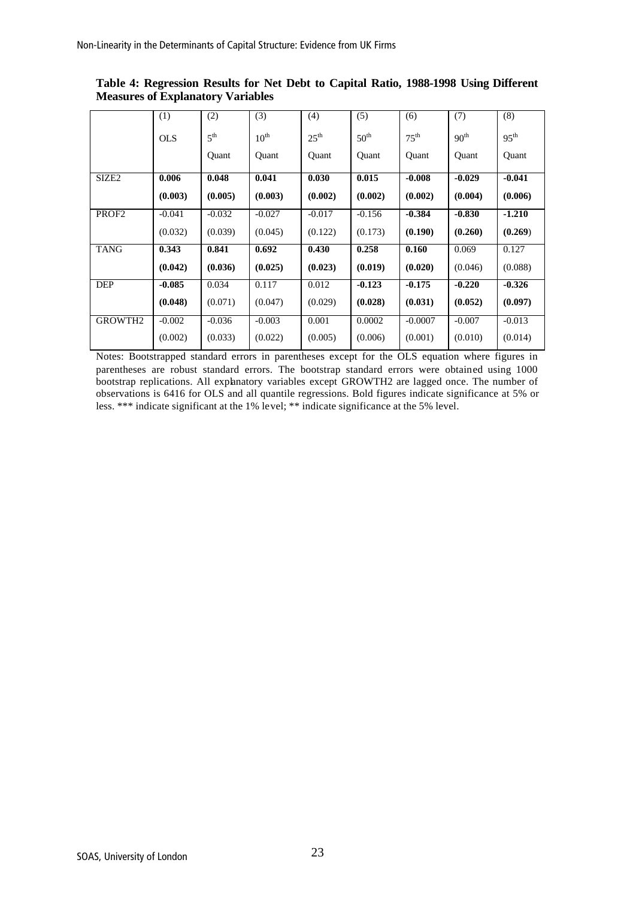|                     | (1)        | (2)             | (3)              | (4)              | $\overline{(5)}$ | (6)              | (7)              | (8)              |
|---------------------|------------|-----------------|------------------|------------------|------------------|------------------|------------------|------------------|
|                     | <b>OLS</b> | 5 <sup>th</sup> | $10^{\text{th}}$ | 25 <sup>th</sup> | 50 <sup>th</sup> | 75 <sup>th</sup> | 90 <sup>th</sup> | 95 <sup>th</sup> |
|                     |            | Quant           | Quant            | Quant            | Quant            | Quant            | Quant            | Quant            |
| SIZE <sub>2</sub>   | 0.006      | 0.048           | 0.041            | 0.030            | 0.015            | $-0.008$         | $-0.029$         | $-0.041$         |
|                     | (0.003)    | (0.005)         | (0.003)          | (0.002)          | (0.002)          | (0.002)          | (0.004)          | (0.006)          |
| PROF <sub>2</sub>   | $-0.041$   | $-0.032$        | $-0.027$         | $-0.017$         | $-0.156$         | $-0.384$         | $-0.830$         | $-1.210$         |
|                     | (0.032)    | (0.039)         | (0.045)          | (0.122)          | (0.173)          | (0.190)          | (0.260)          | (0.269)          |
| <b>TANG</b>         | 0.343      | 0.841           | 0.692            | 0.430            | 0.258            | 0.160            | 0.069            | 0.127            |
|                     | (0.042)    | (0.036)         | (0.025)          | (0.023)          | (0.019)          | (0.020)          | (0.046)          | (0.088)          |
| DEP                 | $-0.085$   | 0.034           | 0.117            | 0.012            | $-0.123$         | $-0.175$         | $-0.220$         | $-0.326$         |
|                     | (0.048)    | (0.071)         | (0.047)          | (0.029)          | (0.028)          | (0.031)          | (0.052)          | (0.097)          |
| GROWTH <sub>2</sub> | $-0.002$   | $-0.036$        | $-0.003$         | 0.001            | 0.0002           | $-0.0007$        | $-0.007$         | $-0.013$         |
|                     | (0.002)    | (0.033)         | (0.022)          | (0.005)          | (0.006)          | (0.001)          | (0.010)          | (0.014)          |

**Table 4: Regression Results for Net Debt to Capital Ratio, 1988-1998 Using Different Measures of Explanatory Variables**

Notes: Bootstrapped standard errors in parentheses except for the OLS equation where figures in parentheses are robust standard errors. The bootstrap standard errors were obtained using 1000 bootstrap replications. All explanatory variables except GROWTH2 are lagged once. The number of observations is 6416 for OLS and all quantile regressions. Bold figures indicate significance at 5% or less. \*\*\* indicate significant at the 1% level; \*\* indicate significance at the 5% level.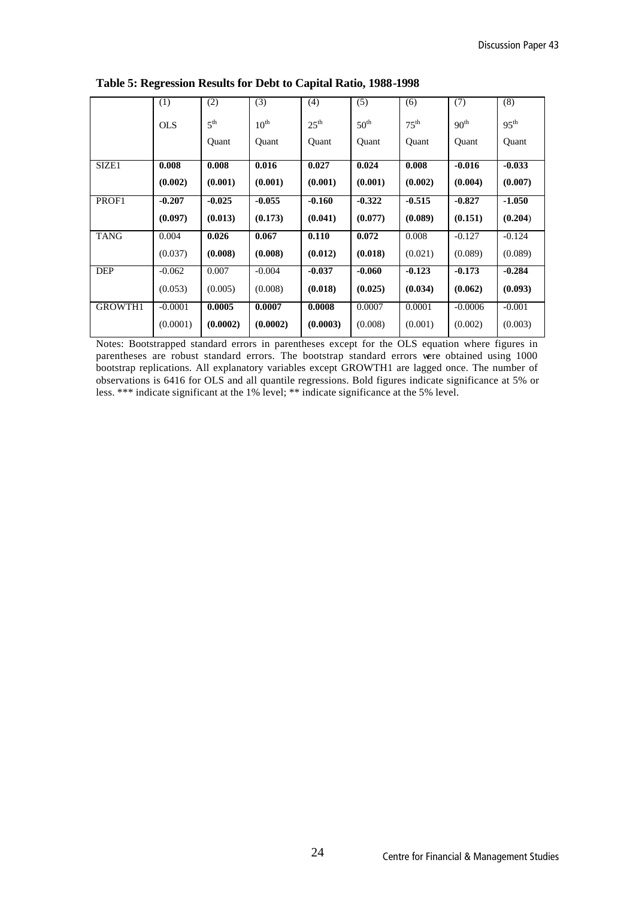|                | (1)        | (2)             | (3)              | (4)              | (5)              | (6)              | (7)              | (8)              |
|----------------|------------|-----------------|------------------|------------------|------------------|------------------|------------------|------------------|
|                | <b>OLS</b> | 5 <sup>th</sup> | $10^{\text{th}}$ | $25^{\text{th}}$ | 50 <sup>th</sup> | $75^{\text{th}}$ | 90 <sup>th</sup> | 95 <sup>th</sup> |
|                |            | Quant           | Quant            | Quant            | Quant            | Quant            | Quant            | Quant            |
| SIZE1          | 0.008      | 0.008           | 0.016            | 0.027            | 0.024            | 0.008            | $-0.016$         | $-0.033$         |
|                | (0.002)    | (0.001)         | (0.001)          | (0.001)          | (0.001)          | (0.002)          | (0.004)          | (0.007)          |
| PROF1          | $-0.207$   | $-0.025$        | $-0.055$         | $-0.160$         | $-0.322$         | $-0.515$         | $-0.827$         | $-1.050$         |
|                | (0.097)    | (0.013)         | (0.173)          | (0.041)          | (0.077)          | (0.089)          | (0.151)          | (0.204)          |
| <b>TANG</b>    | 0.004      | 0.026           | 0.067            | 0.110            | 0.072            | 0.008            | $-0.127$         | $-0.124$         |
|                | (0.037)    | (0.008)         | (0.008)          | (0.012)          | (0.018)          | (0.021)          | (0.089)          | (0.089)          |
| <b>DEP</b>     | $-0.062$   | 0.007           | $-0.004$         | $-0.037$         | $-0.060$         | $-0.123$         | $-0.173$         | $-0.284$         |
|                | (0.053)    | (0.005)         | (0.008)          | (0.018)          | (0.025)          | (0.034)          | (0.062)          | (0.093)          |
| <b>GROWTH1</b> | $-0.0001$  | 0.0005          | 0.0007           | 0.0008           | 0.0007           | 0.0001           | $-0.0006$        | $-0.001$         |
|                | (0.0001)   | (0.0002)        | (0.0002)         | (0.0003)         | (0.008)          | (0.001)          | (0.002)          | (0.003)          |

**Table 5: Regression Results for Debt to Capital Ratio, 1988-1998**

Notes: Bootstrapped standard errors in parentheses except for the OLS equation where figures in parentheses are robust standard errors. The bootstrap standard errors were obtained using 1000 bootstrap replications. All explanatory variables except GROWTH1 are lagged once. The number of observations is 6416 for OLS and all quantile regressions. Bold figures indicate significance at 5% or less. \*\*\* indicate significant at the 1% level; \*\* indicate significance at the 5% level.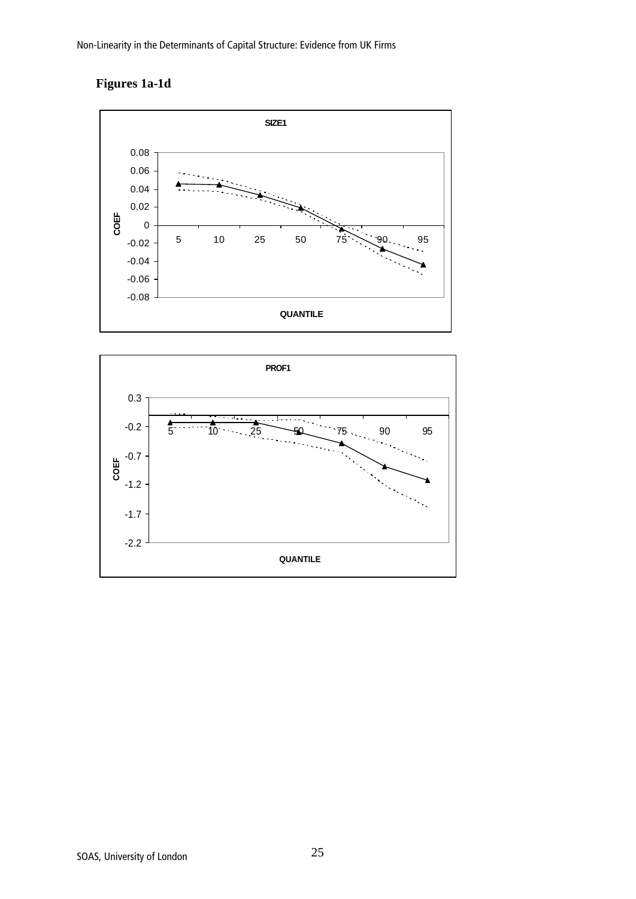## **Figures 1a-1d**